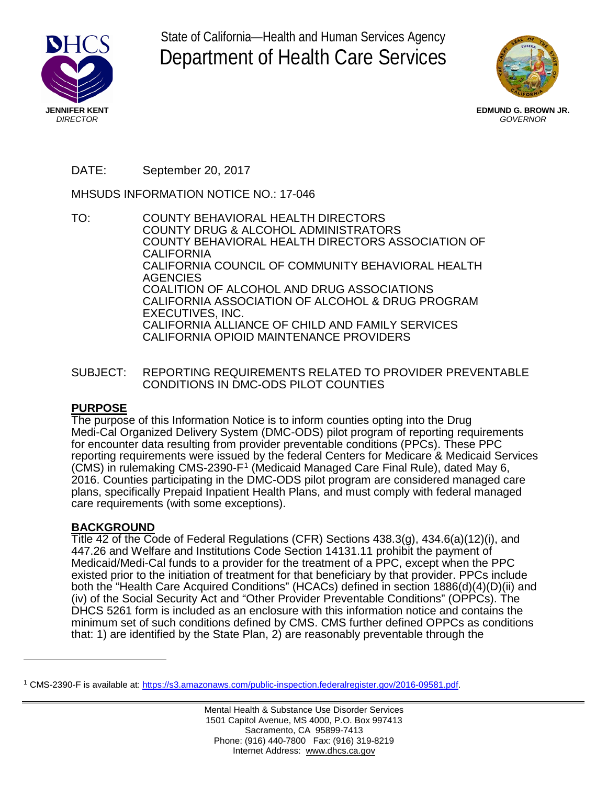

State of California—Health and Human Services Agency Department of Health Care Services



**EDMUND G. BROWN JR.** *GOVERNOR*

# DATE: September 20, 2017

MHSUDS INFORMATION NOTICE NO.: 17-046

- TO: COUNTY BEHAVIORAL HEALTH DIRECTORS COUNTY DRUG & ALCOHOL ADMINISTRATORS COUNTY BEHAVIORAL HEALTH DIRECTORS ASSOCIATION OF CALIFORNIA CALIFORNIA COUNCIL OF COMMUNITY BEHAVIORAL HEALTH **AGENCIES** COALITION OF ALCOHOL AND DRUG ASSOCIATIONS CALIFORNIA ASSOCIATION OF ALCOHOL & DRUG PROGRAM EXECUTIVES, INC. CALIFORNIA ALLIANCE OF CHILD AND FAMILY SERVICES CALIFORNIA OPIOID MAINTENANCE PROVIDERS
- SUBJECT: REPORTING REQUIREMENTS RELATED TO PROVIDER PREVENTABLE CONDITIONS IN DMC-ODS PILOT COUNTIES

## **PURPOSE**

The purpose of this Information Notice is to inform counties opting into the Drug Medi-Cal Organized Delivery System (DMC-ODS) pilot program of reporting requirements for encounter data resulting from provider preventable conditions (PPCs). These PPC reporting requirements were issued by the federal Centers for Medicare & Medicaid Services (CMS) in rulemaking CMS-2390-F[1](#page-0-0) (Medicaid Managed Care Final Rule), dated May 6, 2016. Counties participating in the DMC-ODS pilot program are considered managed care plans, specifically Prepaid Inpatient Health Plans, and must comply with federal managed care requirements (with some exceptions).

## **BACKGROUND**

Title 42 of the Code of Federal Regulations (CFR) Sections 438.3(g), 434.6(a)(12)(i), and 447.26 and Welfare and Institutions Code Section 14131.11 prohibit the payment of Medicaid/Medi-Cal funds to a provider for the treatment of a PPC, except when the PPC existed prior to the initiation of treatment for that beneficiary by that provider. PPCs include both the "Health Care Acquired Conditions" (HCACs) defined in section 1886(d)(4)(D)(ii) and (iv) of the Social Security Act and "Other Provider Preventable Conditions" (OPPCs). The DHCS 5261 form is included as an enclosure with this information notice and contains the minimum set of such conditions defined by CMS. CMS further defined OPPCs as conditions that: 1) are identified by the State Plan, 2) are reasonably preventable through the

<span id="page-0-0"></span><sup>1</sup> CMS-2390-F is available at[: https://s3.amazonaws.com/public-inspection.federalregister.gov/2016-09581.pdf.](https://s3.amazonaws.com/public-inspection.federalregister.gov/2016-09581.pdf)